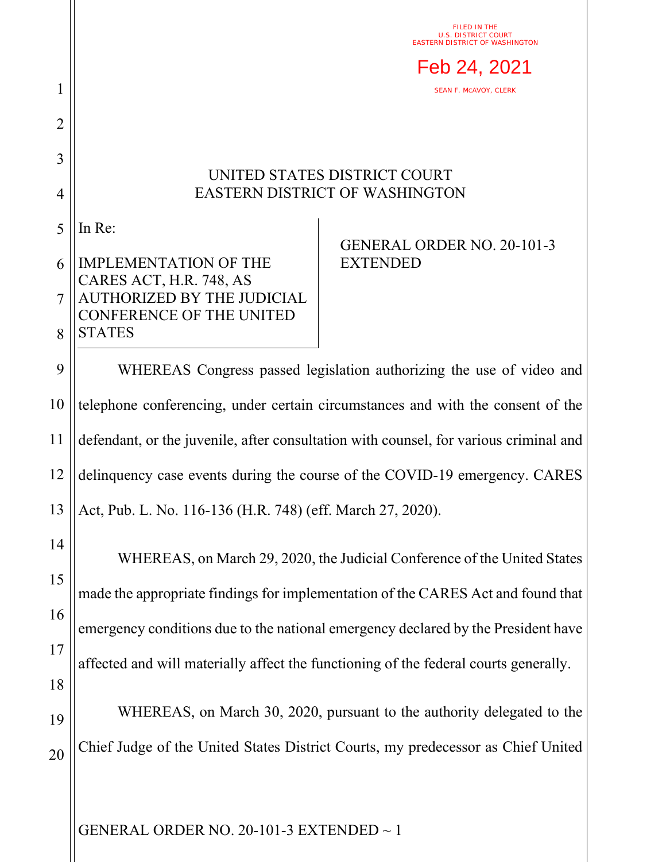FILED IN THE U.S. DISTRICT COURT EASTERN DISTRICT OF WASHINGTON



SEAN F. MCAVOY, CLERK

## UNITED STATES DISTRICT COURT EASTERN DISTRICT OF WASHINGTON

5 In Re:

1

2

3

4

## 6 7 8 IMPLEMENTATION OF THE CARES ACT, H.R. 748, AS AUTHORIZED BY THE JUDICIAL CONFERENCE OF THE UNITED **STATES**

## GENERAL ORDER NO. 20-101-3 EXTENDED

9 10 11 12 13 WHEREAS Congress passed legislation authorizing the use of video and telephone conferencing, under certain circumstances and with the consent of the defendant, or the juvenile, after consultation with counsel, for various criminal and delinquency case events during the course of the COVID-19 emergency. CARES Act, Pub. L. No. 116-136 (H.R. 748) (eff. March 27, 2020).

14 15 16 17 18 19 WHEREAS, on March 29, 2020, the Judicial Conference of the United States made the appropriate findings for implementation of the CARES Act and found that emergency conditions due to the national emergency declared by the President have affected and will materially affect the functioning of the federal courts generally. WHEREAS, on March 30, 2020, pursuant to the authority delegated to the

20 Chief Judge of the United States District Courts, my predecessor as Chief United

GENERAL ORDER NO. 20-101-3 EXTENDED  $\sim$  1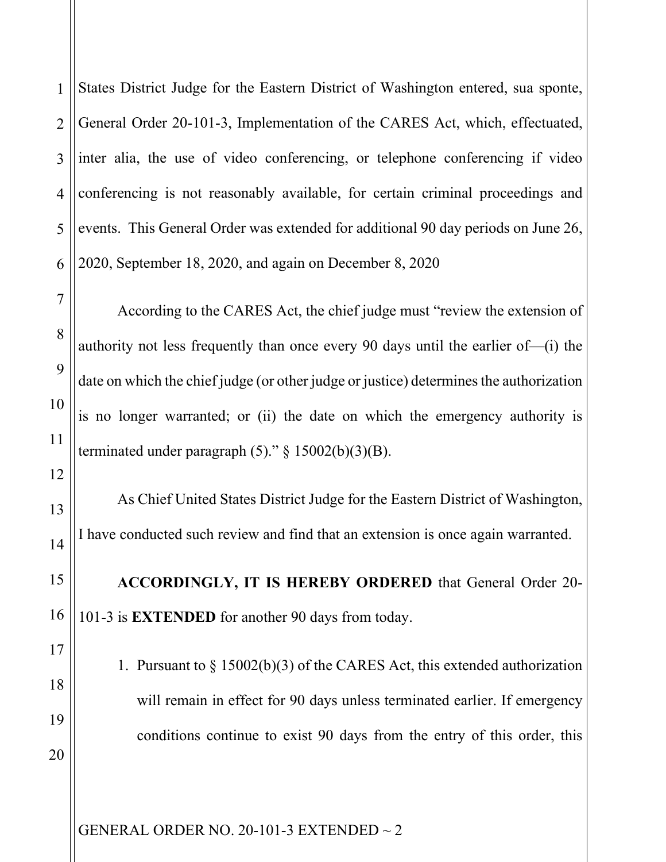1 2 3 4 States District Judge for the Eastern District of Washington entered, sua sponte, General Order 20-101-3, Implementation of the CARES Act, which, effectuated, inter alia, the use of video conferencing, or telephone conferencing if video conferencing is not reasonably available, for certain criminal proceedings and events. This General Order was extended for additional 90 day periods on June 26, 2020, September 18, 2020, and again on December 8, 2020

According to the CARES Act, the chief judge must "review the extension of authority not less frequently than once every 90 days until the earlier of—(i) the date on which the chief judge (or other judge or justice) determines the authorization is no longer warranted; or (ii) the date on which the emergency authority is terminated under paragraph  $(5)$ ." § 15002(b)(3)(B).

As Chief United States District Judge for the Eastern District of Washington, I have conducted such review and find that an extension is once again warranted.

**ACCORDINGLY, IT IS HEREBY ORDERED** that General Order 20- 101-3 is **EXTENDED** for another 90 days from today.

1. Pursuant to § 15002(b)(3) of the CARES Act, this extended authorization will remain in effect for 90 days unless terminated earlier. If emergency conditions continue to exist 90 days from the entry of this order, this

GENERAL ORDER NO. 20-101-3 EXTENDED ~ 2